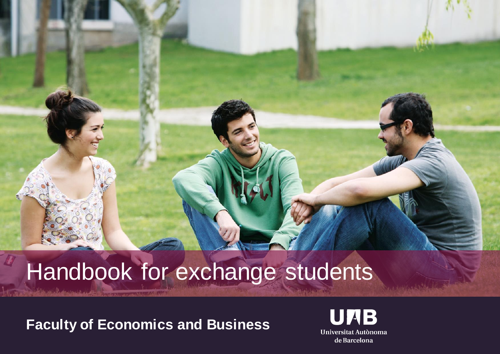# Handbook for exchange students

**Faculty of Economics and Business**

**JIAB** Universitat Autònoma de Barcelona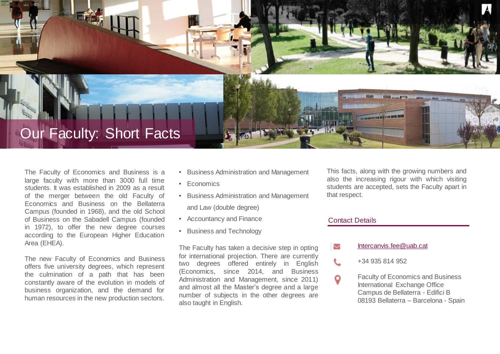

The Faculty of Economics and Business is a large faculty with more than 3000 full time students. It was established in 2009 as a result of the merger between the old Faculty of Economics and Business on the Bellaterra Campus (founded in 1968), and the old School of Business on the Sabadell Campus (founded in 1972), to offer the new degree courses according to the European Higher Education Area (EHEA).

The new Faculty of Economics and Business offers five university degrees, which represent the culmination of a path that has been constantly aware of the evolution in models of business organization, and the demand for human resources in the new production sectors.

- Business Administration and Management
- Economics
- Business Administration and Management and Law (double degree)
- Accountancy and Finance
- Business and Technology

The Faculty has taken a decisive step in opting for international projection. There are currently two degrees offered entirely in English (Economics, since 2014, and Business Administration and Management, since 2011) and almost all the Master's degree and a large number of subjects in the other degrees are also taught in English.

This facts, along with the growing numbers and also the increasing rigour with which visiting students are accepted, sets the Faculty apart in that respect.

#### Contact Details

ζ

L

Q

#### [Intercanvis.fee@uab.cat](mailto:Intercanvis.fee@uab.cat)

- +34 935 814 952
- Faculty of Economics and Business International Exchange Office Campus de Bellaterra - Edifici B 08193 Bellaterra – Barcelona - Spain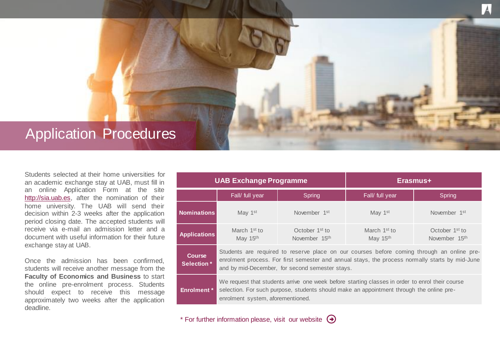## Application Procedures

Students selected at their home universities for an academic exchange stay at UAB, must fill in an online Application Form at the site [http://sia.uab.es,](http://sia.uab.es/) after the nomination of their home university. The UAB will send their decision within 2-3 weeks after the application period closing date. The accepted students will receive via e-mail an admission letter and a document with useful information for their future exchange stay at UAB.

Once the admission has been confirmed, students will receive another message from the **Faculty of Economics and Business** to start the online pre-enrolment process. Students should expect to receive this message approximately two weeks after the application deadline.

| <b>UAB Exchange Programme</b>      |                                                                                                                                                                                                                                                  |                                                         | Erasmus+                             |                                                         |  |  |
|------------------------------------|--------------------------------------------------------------------------------------------------------------------------------------------------------------------------------------------------------------------------------------------------|---------------------------------------------------------|--------------------------------------|---------------------------------------------------------|--|--|
|                                    | Fall/ full year                                                                                                                                                                                                                                  | Spring                                                  | Fall/ full year                      | Spring                                                  |  |  |
| <b>Nominations</b>                 | May 1 <sup>st</sup>                                                                                                                                                                                                                              | November 1 <sup>st</sup>                                | May 1st                              | November 1 <sup>st</sup>                                |  |  |
| <b>Applications</b>                | March 1 <sup>st</sup> to<br>May 15 <sup>th</sup>                                                                                                                                                                                                 | October 1 <sup>st</sup> to<br>November 15 <sup>th</sup> | March 1 <sup>st</sup> to<br>May 15th | October 1 <sup>st</sup> to<br>November 15 <sup>th</sup> |  |  |
| <b>Course</b><br><b>Selection*</b> | Students are required to reserve place on our courses before coming through an online pre-<br>enrolment process. For first semester and annual stays, the process normally starts by mid-June<br>and by mid-December, for second semester stays. |                                                         |                                      |                                                         |  |  |
| <b>Enrolment</b> *                 | We request that students arrive one week before starting classes in order to enrol their course<br>selection. For such purpose, students should make an appointment through the online pre-<br>enrolment system, aforementioned.                 |                                                         |                                      |                                                         |  |  |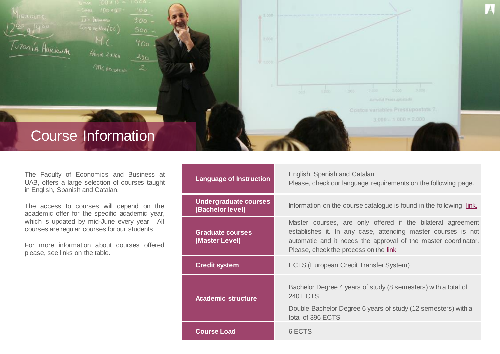

The Faculty of Economics and Business at UAB, offers a large selection of courses taught in English, Spanish and Catalan.

The access to courses will depend on the academic offer for the specific academic year, which is updated by mid-June every year. All courses are regular courses for our students.

For more information about courses offered please, see links on the table.

| <b>Language of Instruction</b>            | English, Spanish and Catalan.<br>Please, check our language requirements on the following page.                                                                                                                                         |  |
|-------------------------------------------|-----------------------------------------------------------------------------------------------------------------------------------------------------------------------------------------------------------------------------------------|--|
| Undergraduate courses<br>(Bachelor level) | Information on the course catalogue is found in the following link.                                                                                                                                                                     |  |
| <b>Graduate courses</b><br>(Master Level) | Master courses, are only offered if the bilateral agreement<br>establishes it. In any case, attending master courses is not<br>automatic and it needs the approval of the master coordinator.<br>Please, check the process on the link. |  |
| <b>Credit system</b>                      | <b>ECTS (European Credit Transfer System)</b>                                                                                                                                                                                           |  |
| <b>Academic structure</b>                 | Bachelor Degree 4 years of study (8 semesters) with a total of<br><b>240 ECTS</b><br>Double Bachelor Degree 6 years of study (12 semesters) with a<br>total of 396 ECTS                                                                 |  |
| <b>Course Load</b>                        | 6 ECTS                                                                                                                                                                                                                                  |  |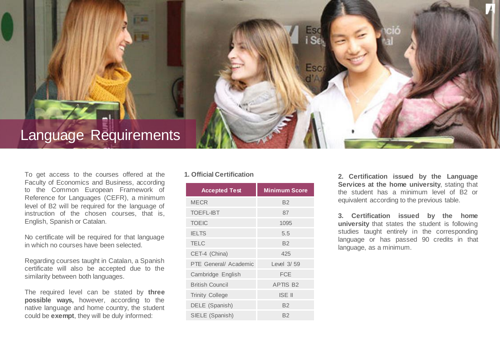## Language Requirements

To get access to the courses offered at the Faculty of Economics and Business, according to the Common European Framework of Reference for Languages (CEFR), a minimum level of B2 will be required for the language of instruction of the chosen courses, that is, English, Spanish or Catalan.

No certificate will be required for that language in which no courses have been selected.

Regarding courses taught in Catalan, a Spanish certificate will also be accepted due to the similarity between both languages.

The required level can be stated by **three possible ways,** however, according to the native language and home country, the student could be **exempt**, they will be duly informed:

#### **1. Official Certification**

| <b>Accepted Test</b>   | <b>Minimum Score</b> |
|------------------------|----------------------|
| <b>MECR</b>            | <b>B2</b>            |
| <b>TOEFL-IBT</b>       | 87                   |
| <b>TOEIC</b>           | 1095                 |
| <b>IELTS</b>           | 5.5                  |
| <b>TELC</b>            | <b>B2</b>            |
| CET-4 (China)          | 425                  |
| PTE General/ Academic  | Level 3/59           |
| Cambridge English      | <b>FCE</b>           |
| <b>British Council</b> | <b>APTIS B2</b>      |
| <b>Trinity College</b> | <b>ISE II</b>        |
| DELE (Spanish)         | <b>B2</b>            |
| SIELE (Spanish)        | B2                   |

Esc

**2. Certification issued by the Language Services at the home university**, stating that the student has a minimum level of B2 or equivalent according to the previous table.

**3. Certification issued by the home university** that states the student is following studies taught entirely in the corresponding language or has passed 90 credits in that language, as a minimum.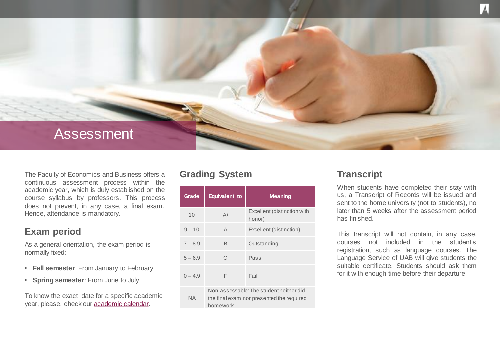

The Faculty of Economics and Business offers a continuous assessment process within the academic year, which is duly established on the course syllabus by professors. This process does not prevent, in any case, a final exam. Hence, attendance is mandatory.

#### **Exam period**

As a general orientation, the exam period is normally fixed:

- **Fall semester**: From January to February
- **Spring semester**: From June to July

To know the exact date for a specific academic year, please, check our [academic calendar.](/web/international-exchange/pathways/uab-incoming-exchange-students/calendar-1345700177978.html)

#### **Grading System <b>Transcript**

| Grade     | <b>Equivalent to</b>                                                                              | <b>Meaning</b>                        |  |
|-----------|---------------------------------------------------------------------------------------------------|---------------------------------------|--|
| 10        | $A+$                                                                                              | Excellent (distinction with<br>honor) |  |
| $9 - 10$  | A                                                                                                 | Excellent (distinction)               |  |
| $7 - 8.9$ | B                                                                                                 | Outstanding                           |  |
| $5 - 6.9$ | C                                                                                                 | Pass                                  |  |
| $0 - 4.9$ | F                                                                                                 | Fail                                  |  |
| ΝA        | Non-assessable: The student neither did<br>the final exam nor presented the required<br>homework. |                                       |  |

When students have completed their stay with us, a Transcript of Records will be issued and sent to the home university (not to students), no later than 5 weeks after the assessment period has finished.

This transcript will not contain, in any case, courses not included in the student's registration, such as language courses. The Language Service of UAB will give students the suitable certificate. Students should ask them for it with enough time before their departure.